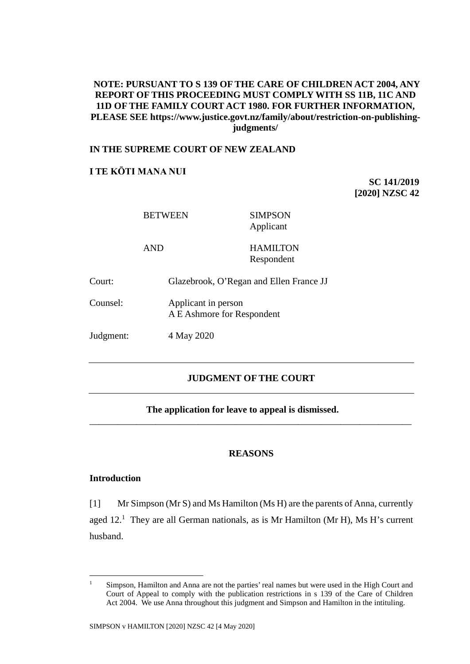# **NOTE: PURSUANT TO S 139 OF THE CARE OF CHILDREN ACT 2004, ANY REPORT OF THIS PROCEEDING MUST COMPLY WITH SS 11B, 11C AND 11D OF THE FAMILY COURT ACT 1980. FOR FURTHER INFORMATION, PLEASE SEE https://www.justice.govt.nz/family/about/restriction-on-publishingjudgments/**

# **IN THE SUPREME COURT OF NEW ZEALAND**

# **I TE KŌTI MANA NUI**

**SC 141/2019 [2020] NZSC 42**

|           | <b>BETWEEN</b>                                    | <b>SIMPSON</b><br>Applicant             |
|-----------|---------------------------------------------------|-----------------------------------------|
|           | <b>AND</b>                                        | <b>HAMILTON</b><br>Respondent           |
| Court:    |                                                   | Glazebrook, O'Regan and Ellen France JJ |
| Counsel:  | Applicant in person<br>A E Ashmore for Respondent |                                         |
| Judgment: | 4 May 2020                                        |                                         |

# **JUDGMENT OF THE COURT**

## **The application for leave to appeal is dismissed.**

## **REASONS**

\_\_\_\_\_\_\_\_\_\_\_\_\_\_\_\_\_\_\_\_\_\_\_\_\_\_\_\_\_\_\_\_\_\_\_\_\_\_\_\_\_\_\_\_\_\_\_\_\_\_\_\_\_\_\_\_\_\_\_\_\_\_\_\_\_\_\_\_

# **Introduction**

[1] Mr Simpson (Mr S) and Ms Hamilton (Ms H) are the parents of Anna, currently aged  $12<sup>1</sup>$  They are all German nationals, as is Mr Hamilton (Mr H), Ms H's current husband.

<sup>&</sup>lt;sup>1</sup> Simpson, Hamilton and Anna are not the parties' real names but were used in the High Court and Court of Appeal to comply with the publication restrictions in s 139 of the Care of Children Act 2004. We use Anna throughout this judgment and Simpson and Hamilton in the intituling.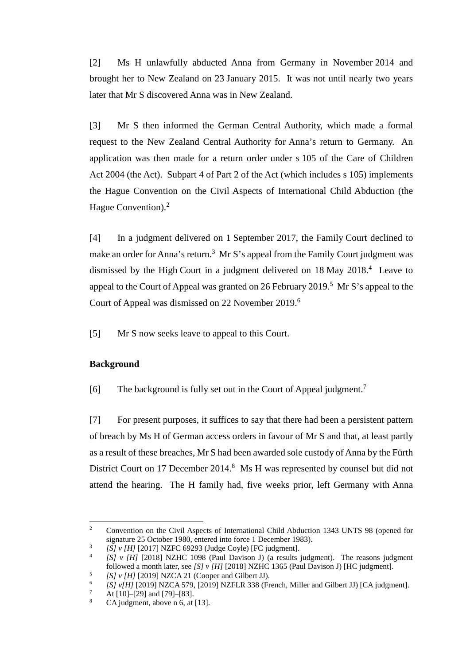[2] Ms H unlawfully abducted Anna from Germany in November 2014 and brought her to New Zealand on 23 January 2015. It was not until nearly two years later that Mr S discovered Anna was in New Zealand.

[3] Mr S then informed the German Central Authority, which made a formal request to the New Zealand Central Authority for Anna's return to Germany. An application was then made for a return order under s 105 of the Care of Children Act 2004 (the Act). Subpart 4 of Part 2 of the Act (which includes s 105) implements the Hague Convention on the Civil Aspects of International Child Abduction (the Hague Convention).<sup>2</sup>

<span id="page-1-3"></span><span id="page-1-2"></span><span id="page-1-1"></span>[4] In a judgment delivered on 1 September 2017, the Family Court declined to make an order for Anna's return.<sup>3</sup> Mr S's appeal from the Family Court judgment was dismissed by the High Court in a judgment delivered on 18 May 2018. 4 Leave to appeal to the Court of Appeal was granted on 26 February 2019.<sup>5</sup> Mr S's appeal to the Court of Appeal was dismissed on 22 November 2019.<sup>6</sup>

<span id="page-1-0"></span>[5] Mr S now seeks leave to appeal to this Court.

# **Background**

[6] The background is fully set out in the Court of Appeal judgment.<sup>7</sup>

[7] For present purposes, it suffices to say that there had been a persistent pattern of breach by Ms H of German access orders in favour of Mr S and that, at least partly as a result of these breaches, Mr S had been awarded sole custody of Anna by the Fürth District Court on 17 December 2014.<sup>8</sup> Ms H was represented by counsel but did not attend the hearing. The H family had, five weeks prior, left Germany with Anna

<sup>&</sup>lt;sup>2</sup> Convention on the Civil Aspects of International Child Abduction 1343 UNTS 98 (opened for signature 25 October 1980, entered into force 1 December 1983).

<sup>&</sup>lt;sup>3</sup> [S] v [H] [2017] NZFC 69293 (Judge Coyle) [FC judgment].<br><sup>4</sup> [S] v [H] [2018] NZHC 1098 (Paul Davison J) (a results judgment). The reasons judgment followed a month later, see [S] v [H] [2018] NZHC 1365 (Paul Davison

<sup>&</sup>lt;sup>5</sup> [S]  $v$  [H] [2019] NZCA 21 (Cooper and Gilbert JJ).<br>
<sup>6</sup> [S]  $v[H]$  [2019] NZCA 579, [2019] NZFLR 338 (French, Miller and Gilbert JJ) [CA judgment].

<sup>&</sup>lt;sup>7</sup> At [10]–[29] and [79]–[83].<br><sup>8</sup> CA judgment, above n [6,](#page-1-0) at [13].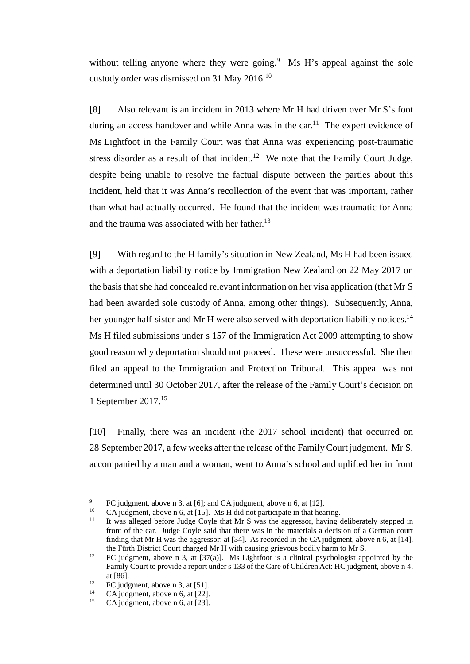without telling anyone where they were going.<sup>9</sup> Ms H's appeal against the sole custody order was dismissed on 31 May 2016.<sup>10</sup>

[8] Also relevant is an incident in 2013 where Mr H had driven over Mr S's foot during an access handover and while Anna was in the car.<sup>11</sup> The expert evidence of Ms Lightfoot in the Family Court was that Anna was experiencing post-traumatic stress disorder as a result of that incident.<sup>12</sup> We note that the Family Court Judge, despite being unable to resolve the factual dispute between the parties about this incident, held that it was Anna's recollection of the event that was important, rather than what had actually occurred. He found that the incident was traumatic for Anna and the trauma was associated with her father.<sup>13</sup>

[9] With regard to the H family's situation in New Zealand, Ms H had been issued with a deportation liability notice by Immigration New Zealand on 22 May 2017 on the basis that she had concealed relevant information on her visa application (that Mr S had been awarded sole custody of Anna, among other things). Subsequently, Anna, her younger half-sister and Mr H were also served with deportation liability notices.<sup>14</sup> Ms H filed submissions under s 157 of the Immigration Act 2009 attempting to show good reason why deportation should not proceed. These were unsuccessful. She then filed an appeal to the Immigration and Protection Tribunal. This appeal was not determined until 30 October 2017, after the release of the Family Court's decision on 1 September 2017.15

[10] Finally, there was an incident (the 2017 school incident) that occurred on 28 September 2017, a few weeks after the release of the Family Court judgment. Mr S, accompanied by a man and a woman, went to Anna's school and uplifted her in front

<sup>&</sup>lt;sup>9</sup> FC judgment, above n [3,](#page-1-1) at [6]; and CA judgment, above n [6,](#page-1-0) at [12].<br><sup>10</sup> CA judgment, above n 6, at [15]. Ms H did not participate in that hearing.<br><sup>11</sup> It was alleged before Judge Coyle that Mr S was the aggressor, h front of the car. Judge Coyle said that there was in the materials a decision of a German court finding that Mr H was the aggressor: at [34]. As recorded in the CA judgment, above [n 6,](#page-1-0) at [14], the Fürth District Court charged Mr H with causing grievous bodily harm to Mr S.

<sup>&</sup>lt;sup>12</sup> FC judgment, above n [3,](#page-1-1) at [37(a)]. Ms Lightfoot is a clinical psychologist appointed by the Family Court to provide a report under s 133 of the Care of Children Act: HC judgment, above n [4,](#page-1-2) at [86].<br>
FC judgment, above n [3,](#page-1-1) at [51].<br>  $\frac{14}{5}$  CA judgment, above n 6, at [22].

<sup>&</sup>lt;sup>14</sup> CA judgment, above n [6,](#page-1-0) at [22].<br><sup>15</sup> CA judgment, above n 6, at [23].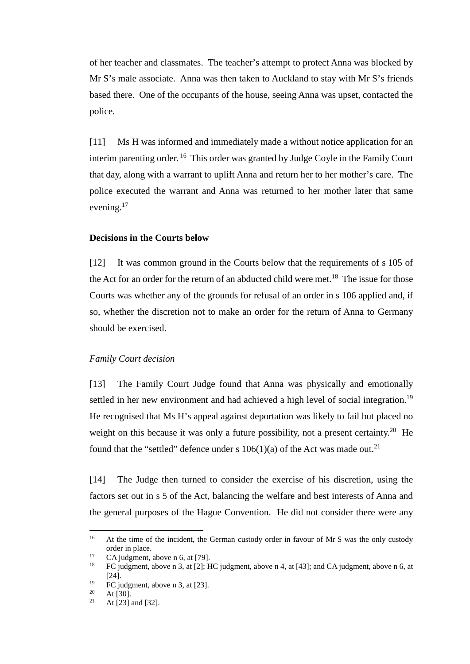of her teacher and classmates. The teacher's attempt to protect Anna was blocked by Mr S's male associate. Anna was then taken to Auckland to stay with Mr S's friends based there. One of the occupants of the house, seeing Anna was upset, contacted the police.

[11] Ms H was informed and immediately made a without notice application for an interim parenting order. <sup>16</sup> This order was granted by Judge Coyle in the Family Court that day, along with a warrant to uplift Anna and return her to her mother's care. The police executed the warrant and Anna was returned to her mother later that same evening.<sup>17</sup>

## **Decisions in the Courts below**

[12] It was common ground in the Courts below that the requirements of s 105 of the Act for an order for the return of an abducted child were met.<sup>18</sup> The issue for those Courts was whether any of the grounds for refusal of an order in s 106 applied and, if so, whether the discretion not to make an order for the return of Anna to Germany should be exercised.

## *Family Court decision*

[13] The Family Court Judge found that Anna was physically and emotionally settled in her new environment and had achieved a high level of social integration.<sup>19</sup> He recognised that Ms H's appeal against deportation was likely to fail but placed no weight on this because it was only a future possibility, not a present certainty.<sup>20</sup> He found that the "settled" defence under s  $106(1)(a)$  of the Act was made out.<sup>21</sup>

[14] The Judge then turned to consider the exercise of his discretion, using the factors set out in s 5 of the Act, balancing the welfare and best interests of Anna and the general purposes of the Hague Convention. He did not consider there were any

<sup>&</sup>lt;sup>16</sup> At the time of the incident, the German custody order in favour of Mr S was the only custody order in place.<br>CA judgment, above n 6, at [79].

<sup>&</sup>lt;sup>17</sup> CA judgment, above n [6,](#page-1-0) at [79].<br><sup>18</sup> FC judgment, above n [3,](#page-1-1) at [2]; HC judgment, above n [4,](#page-1-2) at [43]; and CA judgment, above n 6, at [24].

<sup>&</sup>lt;sup>19</sup> FC judgment, above n [3,](#page-1-1) at [23].<br>
<sup>20</sup> At [30].<br>
<sup>21</sup> At [23] and [32]

At [23] and [32].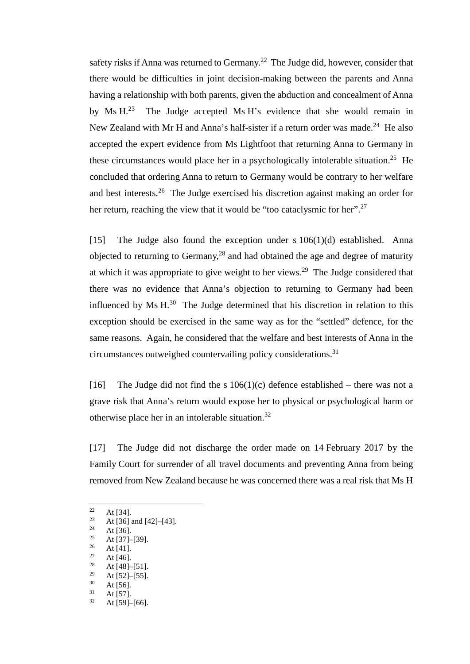safety risks if Anna was returned to Germany.<sup>22</sup> The Judge did, however, consider that there would be difficulties in joint decision-making between the parents and Anna having a relationship with both parents, given the abduction and concealment of Anna by Ms  $H^{23}$  The Judge accepted Ms H's evidence that she would remain in New Zealand with Mr H and Anna's half-sister if a return order was made.<sup>24</sup> He also accepted the expert evidence from Ms Lightfoot that returning Anna to Germany in these circumstances would place her in a psychologically intolerable situation.<sup>25</sup> He concluded that ordering Anna to return to Germany would be contrary to her welfare and best interests.26 The Judge exercised his discretion against making an order for her return, reaching the view that it would be "too cataclysmic for her".<sup>27</sup>

[15] The Judge also found the exception under s  $106(1)(d)$  established. Anna objected to returning to Germany, $28$  and had obtained the age and degree of maturity at which it was appropriate to give weight to her views.29 The Judge considered that there was no evidence that Anna's objection to returning to Germany had been influenced by Ms  $H^{30}$ . The Judge determined that his discretion in relation to this exception should be exercised in the same way as for the "settled" defence, for the same reasons. Again, he considered that the welfare and best interests of Anna in the circumstances outweighed countervailing policy considerations.31

[16] The Judge did not find the s  $106(1)(c)$  defence established – there was not a grave risk that Anna's return would expose her to physical or psychological harm or otherwise place her in an intolerable situation.32

[17] The Judge did not discharge the order made on 14 February 2017 by the Family Court for surrender of all travel documents and preventing Anna from being removed from New Zealand because he was concerned there was a real risk that Ms H

- 
- <sup>27</sup> At [46].
- $\frac{28}{29}$  At [48]–[51].
- <sup>29</sup> At [52]–[55].<br>
<sup>30</sup> At [56].<br>
<sup>31</sup> At [59]–[66].
- 

<sup>&</sup>lt;sup>22</sup> At [34].<br><sup>23</sup> At [36] and [42]–[43].<br><sup>24</sup> At [36]

<sup>&</sup>lt;sup>24</sup> At [36].<br><sup>25</sup> At [37]–[39].<br><sup>26</sup> At [41].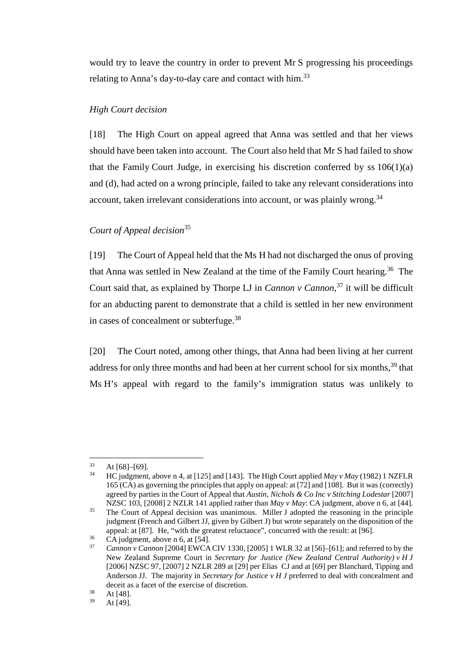would try to leave the country in order to prevent Mr S progressing his proceedings relating to Anna's day-to-day care and contact with him.<sup>33</sup>

## *High Court decision*

[18] The High Court on appeal agreed that Anna was settled and that her views should have been taken into account. The Court also held that Mr S had failed to show that the Family Court Judge, in exercising his discretion conferred by ss  $106(1)(a)$ and (d), had acted on a wrong principle, failed to take any relevant considerations into account, taken irrelevant considerations into account, or was plainly wrong.<sup>34</sup>

# *Court of Appeal decision*<sup>35</sup>

<span id="page-5-0"></span>[19] The Court of Appeal held that the Ms H had not discharged the onus of proving that Anna was settled in New Zealand at the time of the Family Court hearing.<sup>36</sup> The Court said that, as explained by Thorpe LJ in *Cannon v Cannon*, <sup>37</sup> it will be difficult for an abducting parent to demonstrate that a child is settled in her new environment in cases of concealment or subterfuge.<sup>38</sup>

[20] The Court noted, among other things, that Anna had been living at her current address for only three months and had been at her current school for six months,<sup>39</sup> that Ms H's appeal with regard to the family's immigration status was unlikely to

<sup>33</sup> At  $[68]$ – $[69]$ .<br><sup>34</sup> HC judgment, above n [4,](#page-1-2) at  $[125]$  and  $[143]$ . The High Court applied *May v May* (1982) 1 NZFLR 165 (CA) as governing the principles that apply on appeal: at [72] and [108]. But it was (correctly) agreed by parties in the Court of Appeal that *Austin, Nichols & Co Inc v Stitching Lodestar* [2007]

NZSC 103, [2008] 2 NZLR 141 applied rather than *May v May*: CA judgment, above [n 6,](#page-1-0) at [44].<br><sup>35</sup> The Court of Appeal decision was unanimous. Miller J adopted the reasoning in the principle judgment (French and Gilbert JJ, given by Gilbert J) but wrote separately on the disposition of the appeal: at [87]. He, "with the greatest reluctance", concurred with the result: at [96].

<sup>&</sup>lt;sup>36</sup> CA judgment, above n [6,](#page-1-0) at [54].<br><sup>37</sup> *Cannon v Cannon* [2004] EWCA CIV 1330, [2005] 1 WLR 32 at [56]–[61]; and referred to by the New Zealand Supreme Court in *Secretary for Justice (New Zealand Central Authority) v H J* [2006] NZSC 97, [2007] 2 NZLR 289 at [29] per Elias CJ and at [69] per Blanchard, Tipping and Anderson JJ. The majority in *Secretary for Justice v H J* preferred to deal with concealment and deceit as a facet of the exercise of discretion.<br>  $At [48]$ .<br>  $At [40]$ 

At [49].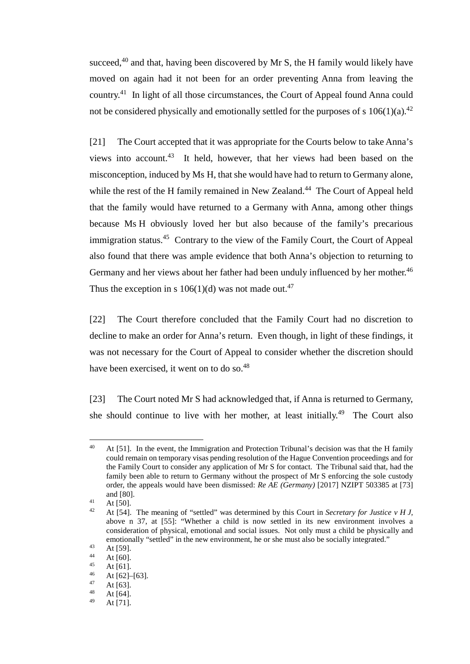succeed, $40$  and that, having been discovered by Mr S, the H family would likely have moved on again had it not been for an order preventing Anna from leaving the country.41 In light of all those circumstances, the Court of Appeal found Anna could not be considered physically and emotionally settled for the purposes of s  $106(1)(a)$ .<sup>42</sup>

[21] The Court accepted that it was appropriate for the Courts below to take Anna's views into account. 43 It held, however, that her views had been based on the misconception, induced by Ms H, that she would have had to return to Germany alone, while the rest of the H family remained in New Zealand.<sup>44</sup> The Court of Appeal held that the family would have returned to a Germany with Anna, among other things because Ms H obviously loved her but also because of the family's precarious immigration status.<sup>45</sup> Contrary to the view of the Family Court, the Court of Appeal also found that there was ample evidence that both Anna's objection to returning to Germany and her views about her father had been unduly influenced by her mother.<sup>46</sup> Thus the exception in s  $106(1)(d)$  was not made out.<sup>47</sup>

[22] The Court therefore concluded that the Family Court had no discretion to decline to make an order for Anna's return. Even though, in light of these findings, it was not necessary for the Court of Appeal to consider whether the discretion should have been exercised, it went on to do so.<sup>48</sup>

[23] The Court noted Mr S had acknowledged that, if Anna is returned to Germany, she should continue to live with her mother, at least initially.<sup>49</sup> The Court also

<sup>&</sup>lt;sup>40</sup> At [51]. In the event, the Immigration and Protection Tribunal's decision was that the H family could remain on temporary visas pending resolution of the Hague Convention proceedings and for the Family Court to consider any application of Mr S for contact. The Tribunal said that, had the family been able to return to Germany without the prospect of Mr S enforcing the sole custody order, the appeals would have been dismissed: *Re AE (Germany)* [2017] NZIPT 503385 at [73] and [80].<br>
<sup>41</sup> At [50].<br>
<sup>42</sup> At [54]

<sup>42</sup> At [54]. The meaning of "settled" was determined by this Court in *Secretary for Justice v H J,*  above n [37,](#page-5-0) at [55]: "Whether a child is now settled in its new environment involves a consideration of physical, emotional and social issues. Not only must a child be physically and emotionally "settled" in the new environment, he or she must also be socially integrated."<br>
At [59].<br>
At [60].<br>
At [61].<br>  $45 \text{ At } 621 \text{ [63]}$ 

<sup>46</sup> At [62]–[63].<br>
47 At [63].<br>
48 At [64].

At [71].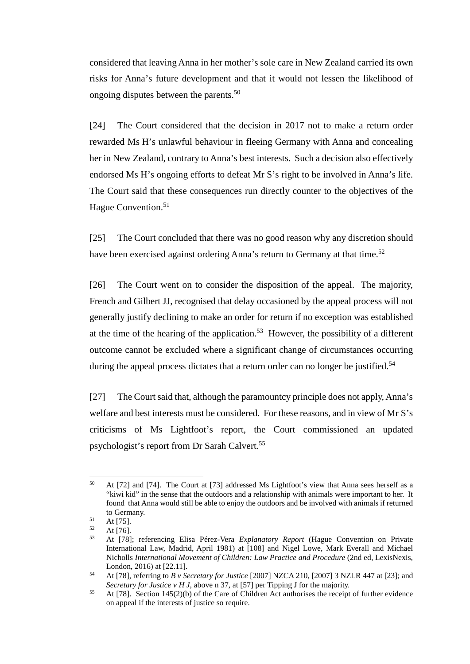considered that leaving Anna in her mother's sole care in New Zealand carried its own risks for Anna's future development and that it would not lessen the likelihood of ongoing disputes between the parents. 50

[24] The Court considered that the decision in 2017 not to make a return order rewarded Ms H's unlawful behaviour in fleeing Germany with Anna and concealing her in New Zealand, contrary to Anna's best interests. Such a decision also effectively endorsed Ms H's ongoing efforts to defeat Mr S's right to be involved in Anna's life. The Court said that these consequences run directly counter to the objectives of the Hague Convention.<sup>51</sup>

[25] The Court concluded that there was no good reason why any discretion should have been exercised against ordering Anna's return to Germany at that time.<sup>52</sup>

[26] The Court went on to consider the disposition of the appeal. The majority, French and Gilbert JJ, recognised that delay occasioned by the appeal process will not generally justify declining to make an order for return if no exception was established at the time of the hearing of the application.<sup>53</sup> However, the possibility of a different outcome cannot be excluded where a significant change of circumstances occurring during the appeal process dictates that a return order can no longer be justified.<sup>54</sup>

[27] The Court said that, although the paramountcy principle does not apply, Anna's welfare and best interests must be considered. For these reasons, and in view of Mr S's criticisms of Ms Lightfoot's report, the Court commissioned an updated psychologist's report from Dr Sarah Calvert.55

 <sup>50</sup> At [72] and [74]. The Court at [73] addressed Ms Lightfoot's view that Anna sees herself as a "kiwi kid" in the sense that the outdoors and a relationship with animals were important to her. It found that Anna would still be able to enjoy the outdoors and be involved with animals if returned to Germany.

 $51$  At [75].<br>
52 At [76].

<sup>52</sup> At [76]. 53 At [78]; referencing Elisa Pérez-Vera *Explanatory Report* (Hague Convention on Private International Law, Madrid, April 1981) at [108] and Nigel Lowe, Mark Everall and Michael Nicholls *International Movement of Children: Law Practice and Procedure* (2nd ed, LexisNexis,

London, 2016) at [22.11].<br>54 At [78], referring to *B v Secretary for Justice* [2007] NZCA 210, [2007] 3 NZLR 447 at [23]; and<br>*Secretary for Justice v H J*, above n 37, at [57] per Tipping J for the majority.

<sup>&</sup>lt;sup>55</sup> At [78]. Section 145(2)(b) of the Care of Children Act authorises the receipt of further evidence on appeal if the interests of justice so require.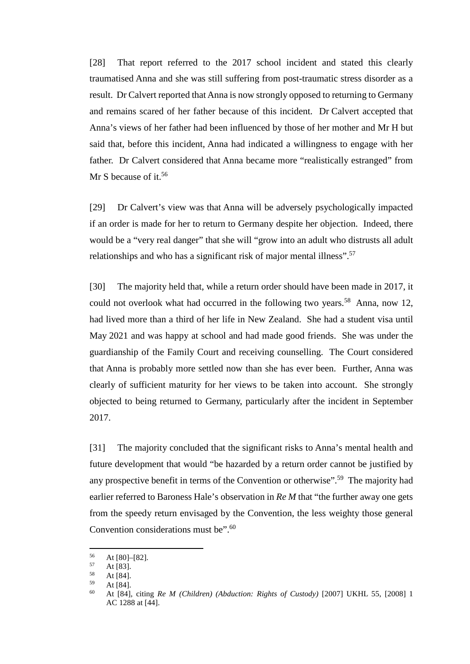[28] That report referred to the 2017 school incident and stated this clearly traumatised Anna and she was still suffering from post-traumatic stress disorder as a result. Dr Calvert reported that Anna is now strongly opposed to returning to Germany and remains scared of her father because of this incident. Dr Calvert accepted that Anna's views of her father had been influenced by those of her mother and Mr H but said that, before this incident, Anna had indicated a willingness to engage with her father. Dr Calvert considered that Anna became more "realistically estranged" from Mr S because of it.<sup>56</sup>

[29] Dr Calvert's view was that Anna will be adversely psychologically impacted if an order is made for her to return to Germany despite her objection. Indeed, there would be a "very real danger" that she will "grow into an adult who distrusts all adult relationships and who has a significant risk of major mental illness".<sup>57</sup>

[30] The majority held that, while a return order should have been made in 2017, it could not overlook what had occurred in the following two years. <sup>58</sup> Anna, now 12, had lived more than a third of her life in New Zealand. She had a student visa until May 2021 and was happy at school and had made good friends. She was under the guardianship of the Family Court and receiving counselling. The Court considered that Anna is probably more settled now than she has ever been. Further, Anna was clearly of sufficient maturity for her views to be taken into account. She strongly objected to being returned to Germany, particularly after the incident in September 2017.

[31] The majority concluded that the significant risks to Anna's mental health and future development that would "be hazarded by a return order cannot be justified by any prospective benefit in terms of the Convention or otherwise".<sup>59</sup> The majority had earlier referred to Baroness Hale's observation in *Re M* that "the further away one gets from the speedy return envisaged by the Convention, the less weighty those general Convention considerations must be".<sup>60</sup>

<sup>56</sup> At [80]–[82].<br>
57 At [83].<br>
58 At [84].<br>
59 At [84].

<sup>59</sup> At [84]. 60 At [84], citing *Re M (Children) (Abduction: Rights of Custody)* [2007] UKHL 55, [2008] 1 AC 1288 at [44].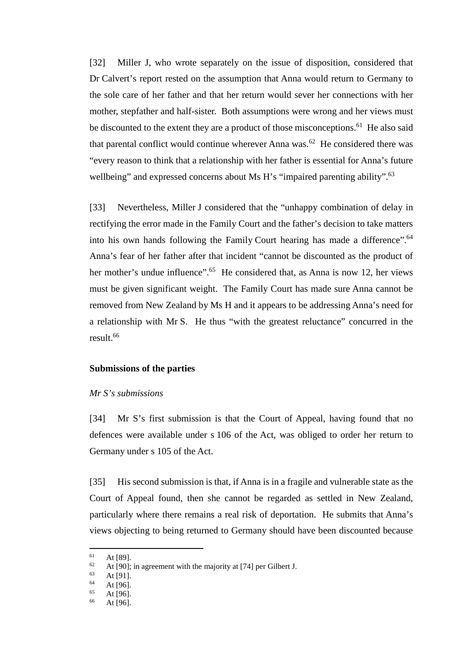[32] Miller J, who wrote separately on the issue of disposition, considered that Dr Calvert's report rested on the assumption that Anna would return to Germany to the sole care of her father and that her return would sever her connections with her mother, stepfather and half-sister. Both assumptions were wrong and her views must be discounted to the extent they are a product of those misconceptions.<sup>61</sup> He also said that parental conflict would continue wherever Anna was.<sup>62</sup> He considered there was "every reason to think that a relationship with her father is essential for Anna's future wellbeing" and expressed concerns about Ms H's "impaired parenting ability".<sup>63</sup>

[33] Nevertheless, Miller J considered that the "unhappy combination of delay in rectifying the error made in the Family Court and the father's decision to take matters into his own hands following the Family Court hearing has made a difference".<sup>64</sup> Anna's fear of her father after that incident "cannot be discounted as the product of her mother's undue influence".<sup>65</sup> He considered that, as Anna is now 12, her views must be given significant weight. The Family Court has made sure Anna cannot be removed from New Zealand by Ms H and it appears to be addressing Anna's need for a relationship with Mr S. He thus "with the greatest reluctance" concurred in the result.66

# **Submissions of the parties**

#### *Mr S's submissions*

[34] Mr S's first submission is that the Court of Appeal, having found that no defences were available under s 106 of the Act, was obliged to order her return to Germany under s 105 of the Act.

[35] His second submission is that, if Anna is in a fragile and vulnerable state as the Court of Appeal found, then she cannot be regarded as settled in New Zealand, particularly where there remains a real risk of deportation. He submits that Anna's views objecting to being returned to Germany should have been discounted because

<sup>61</sup> At [89].<br>
62 At [90]; in agreement with the majority at [74] per Gilbert J.<br>
64 At [96].<br>
65 At [06].

 $65$  At [96].

At [96].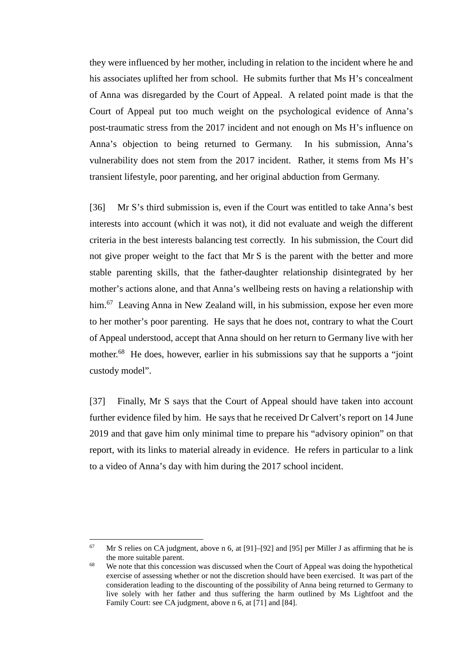they were influenced by her mother, including in relation to the incident where he and his associates uplifted her from school. He submits further that Ms H's concealment of Anna was disregarded by the Court of Appeal. A related point made is that the Court of Appeal put too much weight on the psychological evidence of Anna's post-traumatic stress from the 2017 incident and not enough on Ms H's influence on Anna's objection to being returned to Germany. In his submission, Anna's vulnerability does not stem from the 2017 incident. Rather, it stems from Ms H's transient lifestyle, poor parenting, and her original abduction from Germany.

[36] Mr S's third submission is, even if the Court was entitled to take Anna's best interests into account (which it was not), it did not evaluate and weigh the different criteria in the best interests balancing test correctly. In his submission, the Court did not give proper weight to the fact that Mr S is the parent with the better and more stable parenting skills, that the father-daughter relationship disintegrated by her mother's actions alone, and that Anna's wellbeing rests on having a relationship with him.<sup>67</sup> Leaving Anna in New Zealand will, in his submission, expose her even more to her mother's poor parenting. He says that he does not, contrary to what the Court of Appeal understood, accept that Anna should on her return to Germany live with her mother.<sup>68</sup> He does, however, earlier in his submissions say that he supports a "joint" custody model".

[37] Finally, Mr S says that the Court of Appeal should have taken into account further evidence filed by him. He says that he received Dr Calvert's report on 14 June 2019 and that gave him only minimal time to prepare his "advisory opinion" on that report, with its links to material already in evidence. He refers in particular to a link to a video of Anna's day with him during the 2017 school incident.

 $67$  Mr S relies on CA judgment, above n [6,](#page-1-0) at [91]–[92] and [95] per Miller J as affirming that he is the more suitable parent.

 $68$  We note that this concession was discussed when the Court of Appeal was doing the hypothetical exercise of assessing whether or not the discretion should have been exercised. It was part of the consideration leading to the discounting of the possibility of Anna being returned to Germany to live solely with her father and thus suffering the harm outlined by Ms Lightfoot and the Family Court: see CA judgment, above n [6,](#page-1-0) at [71] and [84].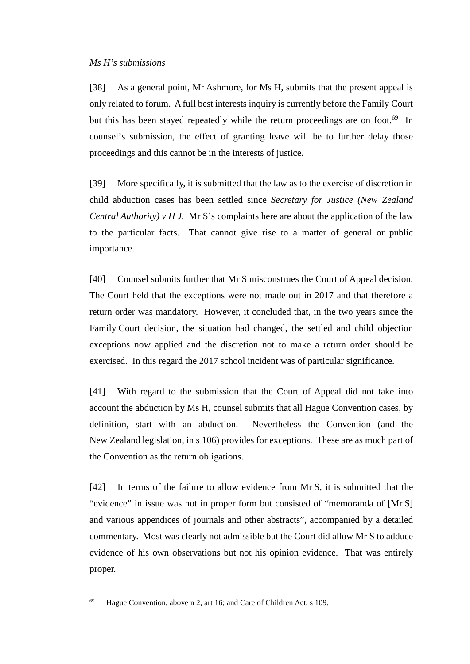[38] As a general point, Mr Ashmore, for Ms H, submits that the present appeal is only related to forum. A full best interests inquiry is currently before the Family Court but this has been stayed repeatedly while the return proceedings are on foot.<sup>69</sup> In counsel's submission, the effect of granting leave will be to further delay those proceedings and this cannot be in the interests of justice.

[39] More specifically, it is submitted that the law as to the exercise of discretion in child abduction cases has been settled since *Secretary for Justice (New Zealand Central Authority) v H J.* Mr S's complaints here are about the application of the law to the particular facts. That cannot give rise to a matter of general or public importance.

[40] Counsel submits further that Mr S misconstrues the Court of Appeal decision. The Court held that the exceptions were not made out in 2017 and that therefore a return order was mandatory. However, it concluded that, in the two years since the Family Court decision, the situation had changed, the settled and child objection exceptions now applied and the discretion not to make a return order should be exercised. In this regard the 2017 school incident was of particular significance.

[41] With regard to the submission that the Court of Appeal did not take into account the abduction by Ms H, counsel submits that all Hague Convention cases, by definition, start with an abduction. Nevertheless the Convention (and the New Zealand legislation, in s 106) provides for exceptions. These are as much part of the Convention as the return obligations.

[42] In terms of the failure to allow evidence from Mr S, it is submitted that the "evidence" in issue was not in proper form but consisted of "memoranda of [Mr S] and various appendices of journals and other abstracts", accompanied by a detailed commentary. Most was clearly not admissible but the Court did allow Mr S to adduce evidence of his own observations but not his opinion evidence. That was entirely proper.

 <sup>69</sup> Hague Convention, above n [2,](#page-1-3) art 16; and Care of Children Act, s 109.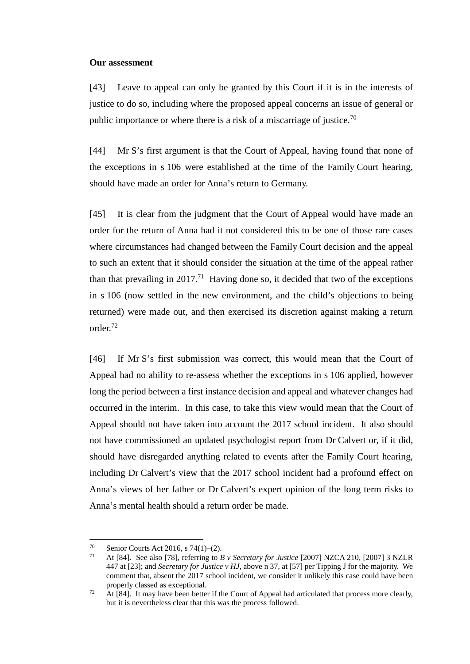#### **Our assessment**

[43] Leave to appeal can only be granted by this Court if it is in the interests of justice to do so, including where the proposed appeal concerns an issue of general or public importance or where there is a risk of a miscarriage of justice.<sup>70</sup>

[44] Mr S's first argument is that the Court of Appeal, having found that none of the exceptions in s 106 were established at the time of the Family Court hearing, should have made an order for Anna's return to Germany.

[45] It is clear from the judgment that the Court of Appeal would have made an order for the return of Anna had it not considered this to be one of those rare cases where circumstances had changed between the Family Court decision and the appeal to such an extent that it should consider the situation at the time of the appeal rather than that prevailing in  $2017<sup>71</sup>$  Having done so, it decided that two of the exceptions in s 106 (now settled in the new environment, and the child's objections to being returned) were made out, and then exercised its discretion against making a return order.72

[46] If Mr S's first submission was correct, this would mean that the Court of Appeal had no ability to re-assess whether the exceptions in s 106 applied, however long the period between a first instance decision and appeal and whatever changes had occurred in the interim. In this case, to take this view would mean that the Court of Appeal should not have taken into account the 2017 school incident. It also should not have commissioned an updated psychologist report from Dr Calvert or, if it did, should have disregarded anything related to events after the Family Court hearing, including Dr Calvert's view that the 2017 school incident had a profound effect on Anna's views of her father or Dr Calvert's expert opinion of the long term risks to Anna's mental health should a return order be made.

<sup>&</sup>lt;sup>70</sup> Senior Courts Act 2016, s 74(1)–(2).<br><sup>71</sup> At [84]. See also [78], referring to *B v Secretary for Justice* [2007] NZCA 210, [2007] 3 NZLR 447 at [23]; and *Secretary for Justice v HJ*, above n [37,](#page-5-0) at [57] per Tipping J for the majority. We comment that, absent the 2017 school incident, we consider it unlikely this case could have been properly classed as exceptional.

 $\frac{72}{11}$  At [84]. It may have been better if the Court of Appeal had articulated that process more clearly, but it is nevertheless clear that this was the process followed.